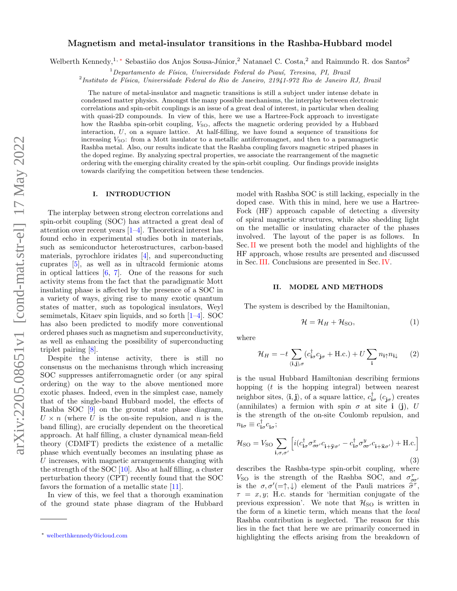# Magnetism and metal-insulator transitions in the Rashba-Hubbard model

Welberth Kennedy,<sup>1, [∗](#page-0-0)</sup> Sebastião dos Anjos Sousa-Júnior,<sup>2</sup> Natanael C. Costa,<sup>2</sup> and Raimundo R. dos Santos<sup>2</sup>

 $1$ Departamento de Física, Universidade Federal do Piauí, Teresina, PI, Brazil

<sup>2</sup> Instituto de Física, Universidade Federal do Rio de Janeiro, 21941-972 Rio de Janeiro RJ, Brazil

The nature of metal-insulator and magnetic transitions is still a subject under intense debate in condensed matter physics. Amongst the many possible mechanisms, the interplay between electronic correlations and spin-orbit couplings is an issue of a great deal of interest, in particular when dealing with quasi-2D compounds. In view of this, here we use a Hartree-Fock approach to investigate how the Rashba spin-orbit coupling,  $V_{\text{SO}}$ , affects the magnetic ordering provided by a Hubbard interaction,  $U$ , on a square lattice. At half-filling, we have found a sequence of transitions for increasing  $V_{\text{SO}}$ : from a Mott insulator to a metallic antiferromagnet, and then to a paramagnetic Rashba metal. Also, our results indicate that the Rashba coupling favors magnetic striped phases in the doped regime. By analyzing spectral properties, we associate the rearrangement of the magnetic ordering with the emerging chirality created by the spin-orbit coupling. Our findings provide insights towards clarifying the competition between these tendencies.

### I. INTRODUCTION

The interplay between strong electron correlations and spin-orbit coupling (SOC) has attracted a great deal of attention over recent years [\[1–](#page-6-0)[4\]](#page-6-1). Theoretical interest has found echo in experimental studies both in materials, such as semiconductor heterostructures, carbon-based materials, pyrochlore iridates [\[4\]](#page-6-1), and superconducting cuprates [\[5\]](#page-6-2), as well as in ultracold fermionic atoms in optical lattices  $[6, 7]$  $[6, 7]$  $[6, 7]$ . One of the reasons for such activity stems from the fact that the paradigmatic Mott insulating phase is affected by the presence of a SOC in a variety of ways, giving rise to many exotic quantum states of matter, such as topological insulators, Weyl semimetals, Kitaev spin liquids, and so forth [\[1–](#page-6-0)[4\]](#page-6-1). SOC has also been predicted to modify more conventional ordered phases such as magnetism and superconductivity, as well as enhancing the possibility of superconducting triplet pairing [\[8\]](#page-6-5).

Despite the intense activity, there is still no consensus on the mechanisms through which increasing SOC suppresses antiferromagnetic order (or any spiral ordering) on the way to the above mentioned more exotic phases. Indeed, even in the simplest case, namely that of the single-band Hubbard model, the effects of Rashba SOC [\[9\]](#page-6-6) on the ground state phase diagram,  $U \times n$  (where U is the on-site repulsion, and n is the band filling), are crucially dependent on the theoretical approach. At half filling, a cluster dynamical mean-field theory (CDMFT) predicts the existence of a metallic phase which eventually becomes an insulating phase as  $U$  increases, with magnetic arrangements changing with the strength of the SOC [\[10\]](#page-6-7). Also at half filling, a cluster perturbation theory (CPT) recently found that the SOC favors the formation of a metallic state [\[11\]](#page-6-8).

In view of this, we feel that a thorough examination of the ground state phase diagram of the Hubbard model with Rashba SOC is still lacking, especially in the doped case. With this in mind, here we use a Hartree-Fock (HF) approach capable of detecting a diversity of spiral magnetic structures, while also shedding light on the metallic or insulating character of the phases involved. The layout of the paper is as follows. In Sec.[II](#page-0-1) we present both the model and highlights of the HF approach, whose results are presented and discussed in Sec.[III.](#page-3-0) Conclusions are presented in Sec.[IV.](#page-6-9)

### <span id="page-0-1"></span>II. MODEL AND METHODS

The system is described by the Hamiltonian,

$$
\mathcal{H} = \mathcal{H}_H + \mathcal{H}_{\text{SO}},\tag{1}
$$

where

$$
\mathcal{H}_H = -t \sum_{\langle \mathbf{i}, \mathbf{j} \rangle, \sigma} (c_{\mathbf{i}\sigma}^{\dagger} c_{\mathbf{j}\sigma} + \text{H.c.}) + U \sum_{\mathbf{i}} n_{\mathbf{i}\uparrow} n_{\mathbf{i}\downarrow} \qquad (2)
$$

is the usual Hubbard Hamiltonian describing fermions hopping  $(t$  is the hopping integral) between nearest neighbor sites,  $\langle \mathbf{i}, \mathbf{j} \rangle$ , of a square lattice,  $c_{\mathbf{i}\sigma}^{\dagger}$   $(c_{\mathbf{j}\sigma})$  creates (annihilates) a fermion with spin  $\sigma$  at site i (j), U is the strength of the on-site Coulomb repulsion, and  $n_{\mathbf{i}\sigma} \equiv c_{\mathbf{i}\sigma}^{\dagger} c_{\mathbf{i}\sigma}^{\phantom{\dagger}};$ 

$$
\mathcal{H}_{\text{SO}} = V_{\text{SO}} \sum_{\mathbf{i}, \sigma, \sigma'} \left[ i (c_{\mathbf{i}\sigma}^{\dagger} \sigma_{\sigma\sigma'}^{x} c_{\mathbf{i} + \mathbf{\hat{y}}\sigma'} - c_{\mathbf{i}\sigma}^{\dagger} \sigma_{\sigma\sigma'}^{y} c_{\mathbf{i} + \mathbf{\hat{x}}\sigma'} ) + \text{H.c.} \right]
$$
\n(3)

describes the Rashba-type spin-orbit coupling, where  $V_{\text{SO}}$  is the strength of the Rashba SOC, and  $\sigma_{\sigma\sigma}^{\tau}$ is the  $\sigma, \sigma'(\neq, \downarrow)$  element of the Pauli matrices  $\tilde{\sigma}^{\tau}$ ,<br> $\tau = x, w$ . H<sub>c</sub> stands for the mitian conjugate of the  $\tau = x, y$ ; H.c. stands for 'hermitian conjugate of the previous expression'. We note that  $\mathcal{H}_{\text{SO}}$  is written in the form of a kinetic term, which means that the local Rashba contribution is neglected. The reason for this lies in the fact that here we are primarily concerned in highlighting the effects arising from the breakdown of

<span id="page-0-0"></span><sup>∗</sup> [welberthkennedy@icloud.com](mailto:welberthkennedy@icloud.com)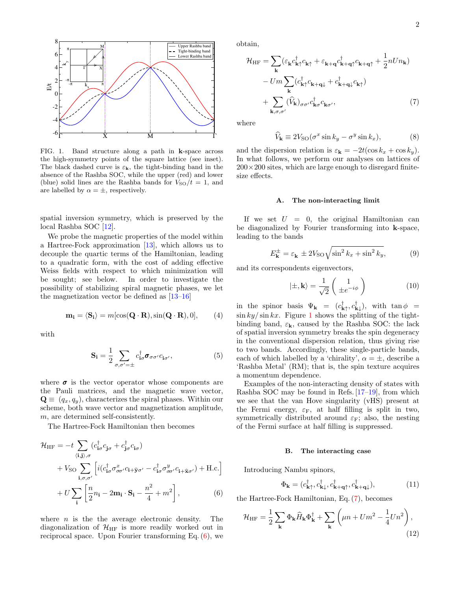

<span id="page-1-1"></span>FIG. 1. Band structure along a path in k-space across the high-symmetry points of the square lattice (see inset). The black dashed curve is  $\varepsilon_{\mathbf{k}}$ , the tight-binding band in the absence of the Rashba SOC, while the upper (red) and lower (blue) solid lines are the Rashba bands for  $V_{\text{SO}}/t = 1$ , and are labelled by  $\alpha = \pm$ , respectively.

spatial inversion symmetry, which is preserved by the local Rashba SOC [\[12\]](#page-6-10).

We probe the magnetic properties of the model within a Hartree-Fock approximation [\[13\]](#page-6-11), which allows us to decouple the quartic terms of the Hamiltonian, leading to a quadratic form, with the cost of adding effective Weiss fields with respect to which minimization will be sought; see below. In order to investigate the possibility of stabilizing spiral magnetic phases, we let the magnetization vector be defined as [\[13–](#page-6-11)[16\]](#page-7-0)

$$
\mathbf{m_i} = \langle \mathbf{S_i} \rangle = m[\cos(\mathbf{Q} \cdot \mathbf{R}), \sin(\mathbf{Q} \cdot \mathbf{R}), 0], \quad (4)
$$

with

$$
\mathbf{S}_{\mathbf{i}} = \frac{1}{2} \sum_{\sigma,\sigma'=\pm} c_{\mathbf{i}\sigma}^{\dagger} \boldsymbol{\sigma}_{\sigma\sigma'} c_{\mathbf{i}\sigma'}, \tag{5}
$$

where  $\sigma$  is the vector operator whose components are the Pauli matrices, and the magnetic wave vector,  $\mathbf{Q} \equiv (q_x, q_y)$ , characterizes the spiral phases. Within our scheme, both wave vector and magnetization amplitude, m, are determined self-consistently.

The Hartree-Fock Hamiltonian then becomes

$$
\mathcal{H}_{\text{HF}} = -t \sum_{\langle \mathbf{i}, \mathbf{j} \rangle, \sigma} (c_{\mathbf{i}\sigma}^{\dagger} c_{\mathbf{j}\sigma} + c_{\mathbf{j}\sigma}^{\dagger} c_{\mathbf{i}\sigma}) \n+ V_{\text{SO}} \sum_{\mathbf{i}, \sigma, \sigma'} \left[ i (c_{\mathbf{i}\sigma}^{\dagger} \sigma_{\sigma\sigma'}^x c_{\mathbf{i} + \mathbf{\hat{y}}\sigma'} - c_{\mathbf{i}\sigma}^{\dagger} \sigma_{\sigma\sigma'}^y c_{\mathbf{i} + \mathbf{\hat{x}}\sigma'} ) + \text{H.c.} \right] \n+ U \sum_{\mathbf{i}} \left[ \frac{n}{2} n_{\mathbf{i}} - 2 \mathbf{m}_{\mathbf{i}} \cdot \mathbf{S}_{\mathbf{i}} - \frac{n^2}{4} + m^2 \right],
$$
\n(6)

where  $n$  is the the average electronic density. The diagonalization of  $\mathcal{H}_{HF}$  is more readily worked out in reciprocal space. Upon Fourier transforming Eq.  $(6)$ , we obtain,

$$
\mathcal{H}_{\text{HF}} = \sum_{\mathbf{k}} (\varepsilon_{\mathbf{k}} c_{\mathbf{k}\uparrow}^{\dagger} c_{\mathbf{k}\uparrow} + \varepsilon_{\mathbf{k}+\mathbf{q}} c_{\mathbf{k}+\mathbf{q}\uparrow}^{\dagger} c_{\mathbf{k}+\mathbf{q}\uparrow} + \frac{1}{2} n U n_{\mathbf{k}})
$$

$$
- U m \sum_{\mathbf{k}} (c_{\mathbf{k}\uparrow}^{\dagger} c_{\mathbf{k}+\mathbf{q}\downarrow} + c_{\mathbf{k}+\mathbf{q}\downarrow}^{\dagger} c_{\mathbf{k}\uparrow})
$$

$$
+ \sum_{\mathbf{k},\sigma,\sigma'} (\hat{V}_{\mathbf{k}})_{\sigma\sigma'} c_{\mathbf{k}\sigma}^{\dagger} c_{\mathbf{k}\sigma'}, \tag{7}
$$

where

<span id="page-1-3"></span><span id="page-1-2"></span>
$$
\widehat{V}_{\mathbf{k}} \equiv 2V_{\mathrm{SO}}(\sigma^x \sin k_y - \sigma^y \sin k_x),\tag{8}
$$

and the dispersion relation is  $\varepsilon_{\mathbf{k}} = -2t(\cos k_x + \cos k_y)$ . In what follows, we perform our analyses on lattices of  $200 \times 200$  sites, which are large enough to disregard finitesize effects.

### A. The non-interacting limit

If we set  $U = 0$ , the original Hamiltonian can be diagonalized by Fourier transforming into k-space, leading to the bands

$$
E_{\mathbf{k}}^{\pm} = \varepsilon_{\mathbf{k}} \pm 2V_{\text{SO}} \sqrt{\sin^2 k_x + \sin^2 k_y},\tag{9}
$$

and its correspondents eigenvectors,

<span id="page-1-5"></span>
$$
|\pm, \mathbf{k}\rangle = \frac{1}{\sqrt{2}} \begin{pmatrix} 1 \\ \pm e^{-i\phi} \end{pmatrix}
$$
 (10)

in the spinor basis  $\Psi_{\mathbf{k}} = (c^{\dagger}_{\mathbf{k}\uparrow}, c^{\dagger}_{\mathbf{k}\downarrow}),$  with  $\tan \phi =$  $\sin ky / \sin kx$ . Figure [1](#page-1-1) shows the splitting of the tightbinding band,  $\varepsilon_{\mathbf{k}}$ , caused by the Rashba SOC: the lack of spatial inversion symmetry breaks the spin degeneracy in the conventional dispersion relation, thus giving rise to two bands. Accordingly, these single-particle bands, each of which labelled by a 'chirality',  $\alpha = \pm$ , describe a 'Rashba Metal' (RM); that is, the spin texture acquires a momentum dependence.

Examples of the non-interacting density of states with Rashba SOC may be found in Refs. [\[17–](#page-7-1)[19\]](#page-7-2), from which we see that the van Hove singularity (vHS) present at the Fermi energy,  $\varepsilon_F$ , at half filling is split in two, symmetrically distributed around  $\varepsilon_F$ ; also, the nesting of the Fermi surface at half filling is suppressed.

### B. The interacting case

Introducing Nambu spinors,

<span id="page-1-4"></span>
$$
\Phi_{\mathbf{k}} = (c_{\mathbf{k}\uparrow}^{\dagger}, c_{\mathbf{k}\downarrow}^{\dagger}, c_{\mathbf{k}+\mathbf{q}\uparrow}^{\dagger}, c_{\mathbf{k}+\mathbf{q}\downarrow}^{\dagger}),
$$
\n(11)

<span id="page-1-0"></span>the Hartree-Fock Hamiltonian, Eq. [\(7\)](#page-1-2), becomes

$$
\mathcal{H}_{\rm HF} = \frac{1}{2} \sum_{\mathbf{k}} \Phi_{\mathbf{k}} \hat{H}_{\mathbf{k}} \Phi_{\mathbf{k}}^{\dagger} + \sum_{\mathbf{k}} \left( \mu n + U m^2 - \frac{1}{4} U n^2 \right),\tag{12}
$$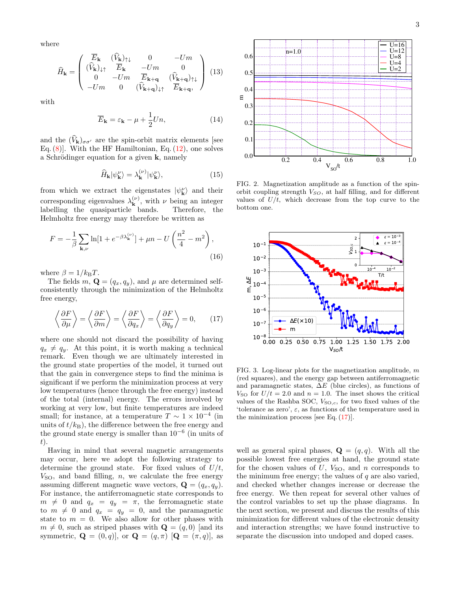where

$$
\widehat{H}_{\mathbf{k}} = \begin{pmatrix}\n\overline{E}_{\mathbf{k}} & (\widehat{V}_{\mathbf{k}})_{\uparrow\downarrow} & 0 & -Um \\
(\widehat{V}_{\mathbf{k}})_{\downarrow\uparrow} & \overline{E}_{\mathbf{k}} & -Um & 0 \\
0 & -Um & \overline{E}_{\mathbf{k}+\mathbf{q}} & (\widehat{V}_{\mathbf{k}+\mathbf{q}})_{\uparrow\downarrow} \\
-Um & 0 & (\widehat{V}_{\mathbf{k}+\mathbf{q}})_{\downarrow\uparrow} & \overline{E}_{\mathbf{k}+\mathbf{q}},\n\end{pmatrix}
$$
(13)

with

$$
\overline{E}_{\mathbf{k}} = \varepsilon_{\mathbf{k}} - \mu + \frac{1}{2} U n,\tag{14}
$$

and the  $(\widehat{V}_{\mathbf{k}})_{\sigma\sigma'}$  are the spin-orbit matrix elements [see Eq.  $(8)$ . With the HF Hamiltonian, Eq.  $(12)$ , one solves a Schrödinger equation for a given  $k$ , namely

<span id="page-2-3"></span>
$$
\widehat{H}_{\mathbf{k}}|\psi_{\mathbf{k}}^{\nu}\rangle = \lambda_{\mathbf{k}}^{(\nu)}|\psi_{\mathbf{k}}^{\nu}\rangle,\tag{15}
$$

from which we extract the eigenstates  $|\psi_{\mathbf{k}}^{\nu}\rangle$  and their corresponding eigenvalues  $\lambda_k^{(\nu)}$  $\mathbf{k}^{(\nu)}$ , with  $\nu$  being an integer labelling the quasiparticle bands. Therefore, the Helmholtz free energy may therefore be written as

$$
F = -\frac{1}{\beta} \sum_{\mathbf{k},\nu} \ln[1 + e^{-\beta \lambda_{\mathbf{k}}^{(\nu)}}] + \mu n - U\left(\frac{n^2}{4} - m^2\right),\tag{16}
$$

where  $\beta = 1/k_BT$ .

The fields  $m, \mathbf{Q} = (q_x, q_y)$ , and  $\mu$  are determined selfconsistently through the minimization of the Helmholtz free energy,

$$
\left\langle \frac{\partial F}{\partial \mu} \right\rangle = \left\langle \frac{\partial F}{\partial m} \right\rangle = \left\langle \frac{\partial F}{\partial q_x} \right\rangle = \left\langle \frac{\partial F}{\partial q_y} \right\rangle = 0, \quad (17)
$$

where one should not discard the possibility of having  $q_x \neq q_y$ . At this point, it is worth making a technical remark. Even though we are ultimately interested in the ground state properties of the model, it turned out that the gain in convergence steps to find the minima is significant if we perform the minimization process at very low temperatures (hence through the free energy) instead of the total (internal) energy. The errors involved by working at very low, but finite temperatures are indeed small; for instance, at a temperature  $T \sim 1 \times 10^{-4}$  (in units of  $t/k_B$ ), the difference between the free energy and the ground state energy is smaller than  $10^{-6}$  (in units of t).

Having in mind that several magnetic arrangements may occur, here we adopt the following strategy to determine the ground state. For fixed values of  $U/t$ ,  $V<sub>SO</sub>$ , and band filling, n, we calculate the free energy assuming different magnetic wave vectors,  $\mathbf{Q} = (q_x, q_y)$ . For instance, the antiferromagnetic state corresponds to  $m \neq 0$  and  $q_x = q_y = \pi$ , the ferromagnetic state to  $m \neq 0$  and  $q_x = q_y = 0$ , and the paramagnetic state to  $m = 0$ . We also allow for other phases with  $m \neq 0$ , such as striped phases with  $\mathbf{Q} = (q, 0)$  [and its symmetric,  $\mathbf{Q} = (0, q)$ , or  $\mathbf{Q} = (q, \pi) [\mathbf{Q} = (\pi, q)]$ , as



<span id="page-2-1"></span>FIG. 2. Magnetization amplitude as a function of the spinorbit coupling strength  $V_{SO}$ , at half filling, and for different values of  $U/t$ , which decrease from the top curve to the bottom one.



<span id="page-2-2"></span><span id="page-2-0"></span>FIG. 3. Log-linear plots for the magnetization amplitude,  $m$ (red squares), and the energy gap between antiferromagnetic and paramagnetic states,  $\Delta E$  (blue circles), as functions of  $V_{\text{SO}}$  for  $U/t = 2.0$  and  $n = 1.0$ . The inset shows the critical values of the Rashba SOC,  $V_{\text{SO},c}$ , for two fixed values of the 'tolerance as zero',  $\varepsilon$ , as functions of the temperature used in the minimization process [see Eq.  $(17)$ ].

well as general spiral phases,  $\mathbf{Q} = (q, q)$ . With all the possible lowest free energies at hand, the ground state for the chosen values of  $U$ ,  $V_{\text{SO}}$ , and n corresponds to the minimum free energy; the values of  $q$  are also varied, and checked whether changes increase or decrease the free energy. We then repeat for several other values of the control variables to set up the phase diagrams. In the next section, we present and discuss the results of this minimization for different values of the electronic density and interaction strengths; we have found instructive to separate the discussion into undoped and doped cases.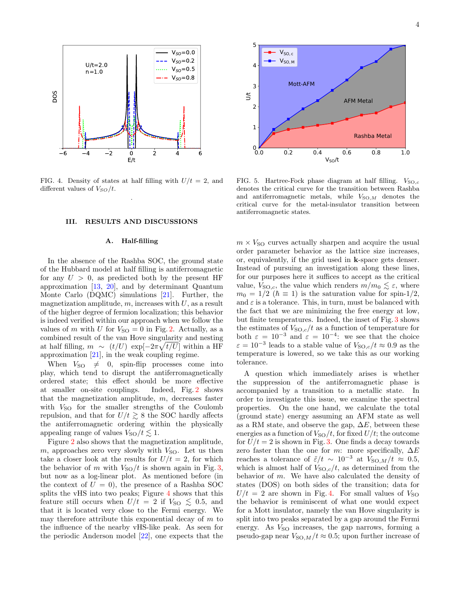

<span id="page-3-1"></span>FIG. 4. Density of states at half filling with  $U/t = 2$ , and different values of  $V_{SO}/t$ . .

## <span id="page-3-0"></span>III. RESULTS AND DISCUSSIONS

## A. Half-filling

In the absence of the Rashba SOC, the ground state of the Hubbard model at half filling is antiferromagnetic for any  $U > 0$ , as predicted both by the present HF approximation [\[13,](#page-6-11) [20\]](#page-7-3), and by determinant Quantum Monte Carlo (DQMC) simulations [\[21\]](#page-7-4). Further, the magnetization amplitude,  $m$ , increases with  $U$ , as a result of the higher degree of fermion localization; this behavior is indeed verified within our approach when we follow the values of m with U for  $V_{\text{SO}} = 0$  in Fig. [2.](#page-2-1) Actually, as a combined result of the van Hove singularity and nesting at half filling,  $m \sim (t/U) \exp[-2\pi \sqrt{t/U}]$  within a HF approximation [\[21\]](#page-7-4), in the weak coupling regime.

When  $V_{\text{SO}} \neq 0$ , spin-flip processes come into play, which tend to disrupt the antiferromagnetically ordered state; this effect should be more effective at smaller on-site couplings. Indeed, Fig. [2](#page-2-1) shows that the magnetization amplitude,  $m$ , decreases faster with  $V_{\text{SO}}$  for the smaller strengths of the Coulomb repulsion, and that for  $U/t \gtrsim 8$  the SOC hardly affects the antiferromagnetic ordering within the physically appealing range of values  $V_{\text{SO}}/t \lesssim 1$ .

Figure [2](#page-2-1) also shows that the magnetization amplitude, m, approaches zero very slowly with  $V_{\text{SO}}$ . Let us then take a closer look at the results for  $U/t = 2$ , for which the behavior of m with  $V_{\text{SO}}/t$  is shown again in Fig. [3,](#page-2-2) but now as a log-linear plot. As mentioned before (in the context of  $U = 0$ , the presence of a Rashba SOC splits the vHS into two peaks; Figure [4](#page-3-1) shows that this feature still occurs when  $U/t = 2$  if  $V_{\text{SO}} \lesssim 0.5$ , and that it is located very close to the Fermi energy. We may therefore attribute this exponential decay of  $m$  to the influence of the nearby vHS-like peak. As seen for the periodic Anderson model [\[22\]](#page-7-5), one expects that the



<span id="page-3-2"></span>FIG. 5. Hartree-Fock phase diagram at half filling.  $V_{\text{SO},c}$ denotes the critical curve for the transition between Rashba and antiferromagnetic metals, while  $V_{\text{SO},M}$  denotes the critical curve for the metal-insulator transition between antiferromagnetic states.

 $m \times V_{\text{SO}}$  curves actually sharpen and acquire the usual order parameter behavior as the lattice size increases, or, equivalently, if the grid used in k-space gets denser. Instead of pursuing an investigation along these lines, for our purposes here it suffices to accept as the critical value,  $V_{\text{SO},c}$ , the value which renders  $m/m_0 \lesssim \varepsilon$ , where  $m_0 = 1/2$  ( $\hbar \equiv 1$ ) is the saturation value for spin-1/2, and  $\varepsilon$  is a tolerance. This, in turn, must be balanced with the fact that we are minimizing the free energy at low, but finite temperatures. Indeed, the inset of Fig. [3](#page-2-2) shows the estimates of  $V_{\text{SO},c}/t$  as a function of temperature for both  $\varepsilon = 10^{-3}$  and  $\varepsilon = 10^{-4}$ : we see that the choice  $\varepsilon = 10^{-3}$  leads to a stable value of  $V_{\text{SO},c}/t \approx 0.9$  as the temperature is lowered, so we take this as our working tolerance.

A question which immediately arises is whether the suppression of the antiferromagnetic phase is accompanied by a transition to a metallic state. In order to investigate this issue, we examine the spectral properties. On the one hand, we calculate the total (ground state) energy assuming an AFM state as well as a RM state, and observe the gap,  $\Delta E$ , between these energies as a function of  $V_{\text{SO}}/t$ , for fixed  $U/t$ ; the outcome for  $U/t = 2$  is shown in Fig. [3.](#page-2-2) One finds a decay towards zero faster than the one for m: more specifically,  $\Delta E$ reaches a tolerance of  $\tilde{\varepsilon}/t \sim 10^{-3}$  at  $V_{\text{SO},M}/t \approx 0.5$ , which is almost half of  $V_{\text{SO},c}/t$ , as determined from the behavior of  $m$ . We have also calculated the density of states (DOS) on both sides of the transition; data for  $U/t = 2$  are shown in Fig. [4.](#page-3-1) For small values of  $V_{\text{SO}}$ the behavior is reminiscent of what one would expect for a Mott insulator, namely the van Hove singularity is split into two peaks separated by a gap around the Fermi energy. As  $V_{\text{SO}}$  increases, the gap narrows, forming a pseudo-gap near  $V_{\text{SO},M}/t \approx 0.5$ ; upon further increase of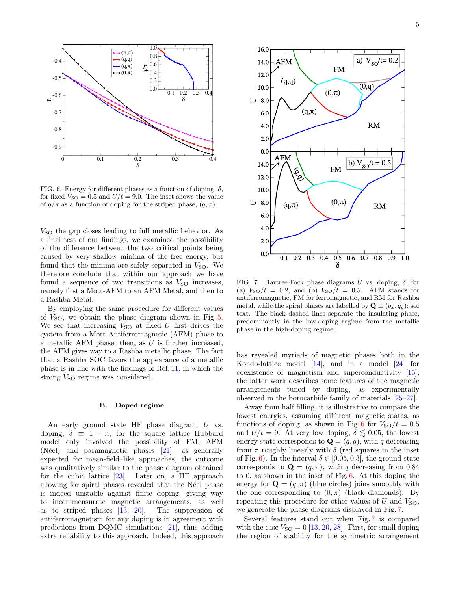

<span id="page-4-0"></span>FIG. 6. Energy for different phases as a function of doping,  $\delta$ , for fixed  $V_{\text{SO}} = 0.5$  and  $U/t = 9.0$ . The inset shows the value of  $q/\pi$  as a function of doping for the striped phase,  $(q, \pi)$ .

 $V<sub>SO</sub>$  the gap closes leading to full metallic behavior. As a final test of our findings, we examined the possibility of the difference between the two critical points being caused by very shallow minima of the free energy, but found that the minima are safely separated in  $V_{\text{SO}}$ . We therefore conclude that within our approach we have found a sequence of two transitions as  $V_{\text{SO}}$  increases, namely first a Mott-AFM to an AFM Metal, and then to a Rashba Metal.

By employing the same procedure for different values of  $V_{\text{SO}}$ , we obtain the phase diagram shown in Fig. [5.](#page-3-2) We see that increasing  $V_{\text{SO}}$  at fixed U first drives the system from a Mott Antiferromagnetic (AFM) phase to a metallic AFM phase; then, as  $U$  is further increased, the AFM gives way to a Rashba metallic phase. The fact that a Rashba SOC favors the appearance of a metallic phase is in line with the findings of Ref. [11,](#page-6-8) in which the strong  $V_{\text{SO}}$  regime was considered.

### B. Doped regime

An early ground state HF phase diagram, U vs. doping,  $\delta \equiv 1 - n$ , for the square lattice Hubbard model only involved the possibility of FM, AFM (Néel) and paramagnetic phases  $[21]$ ; as generally expected for mean-field–like approaches, the outcome was qualitatively similar to the phase diagram obtained for the cubic lattice [\[23\]](#page-7-6). Later on, a HF approach allowing for spiral phases revealed that the Néel phase is indeed unstable against finite doping, giving way to incommensurate magnetic arrangements, as well as to striped phases [\[13,](#page-6-11) [20\]](#page-7-3). The suppression of antiferromagnetism for any doping is in agreement with predictions from DQMC simulations [\[21\]](#page-7-4), thus adding extra reliability to this approach. Indeed, this approach



<span id="page-4-1"></span>FIG. 7. Hartree-Fock phase diagrams U vs. doping,  $\delta$ , for (a)  $V_{\text{SO}}/t = 0.2$ , and (b)  $V_{\text{SO}}/t = 0.5$ . AFM stands for antiferromagnetic, FM for ferromagnetic, and RM for Rashba metal, while the spiral phases are labelled by  $\mathbf{Q} \equiv (q_x, q_y)$ ; see text. The black dashed lines separate the insulating phase, predominantly in the low-doping regime from the metallic phase in the high-doping regime.

has revealed myriads of magnetic phases both in the Kondo-lattice model [\[14\]](#page-6-12), and in a model [\[24\]](#page-7-7) for coexistence of magnetism and superconductivity [\[15\]](#page-7-8); the latter work describes some features of the magnetic arrangements tuned by doping, as experimentally observed in the borocarbide family of materials [\[25](#page-7-9)[–27\]](#page-7-10).

Away from half filling, it is illustrative to compare the lowest energies, assuming different magnetic states, as functions of doping, as shown in Fig. [6](#page-4-0) for  $V_{\text{SO}}/t = 0.5$ and  $U/t = 9$ . At very low doping,  $\delta \lesssim 0.05$ , the lowest energy state corresponds to  $\mathbf{Q} = (q, q)$ , with q decreasing from  $\pi$  roughly linearly with  $\delta$  (red squares in the inset of Fig. [6\)](#page-4-0). In the interval  $\delta \in [0.05, 0.3]$ , the ground state corresponds to  $\mathbf{Q} = (q, \pi)$ , with q decreasing from 0.84 to 0, as shown in the inset of Fig. [6.](#page-4-0) At this doping the energy for  $\mathbf{Q} = (q, \pi)$  (blue circles) joins smoothly with the one corresponding to  $(0, \pi)$  (black diamonds). By repeating this procedure for other values of  $U$  and  $V_{\text{SO}}$ , we generate the phase diagrams displayed in Fig. [7.](#page-4-1)

Several features stand out when Fig. [7](#page-4-1) is compared with the case  $V_{\text{SO}} = 0$  [\[13,](#page-6-11) [20,](#page-7-3) [28\]](#page-7-11). First, for small doping the region of stability for the symmetric arrangement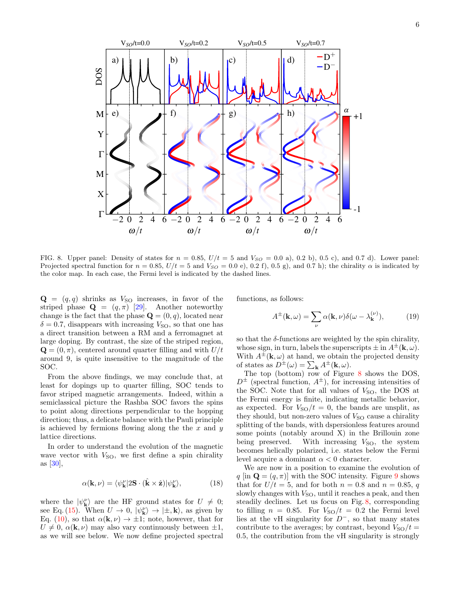

<span id="page-5-0"></span>FIG. 8. Upper panel: Density of states for  $n = 0.85$ ,  $U/t = 5$  and  $V_{SO} = 0.0$  a), 0.2 b), 0.5 c), and 0.7 d). Lower panel: Projected spectral function for  $n = 0.85$ ,  $U/t = 5$  and  $V<sub>SO</sub> = 0.0$  e), 0.2 f), 0.5 g), and 0.7 h); the chirality  $\alpha$  is indicated by the color map. In each case, the Fermi level is indicated by the dashed lines.

 $\mathbf{Q} = (q, q)$  shrinks as  $V_{\text{SO}}$  increases, in favor of the striped phase  $\mathbf{Q} = (q, \pi)$  [\[29\]](#page-7-12). Another noteworthy change is the fact that the phase  $\mathbf{Q} = (0, q)$ , located near  $\delta = 0.7$ , disappears with increasing  $V_{\text{SO}}$ , so that one has a direct transition between a RM and a ferromagnet at large doping. By contrast, the size of the striped region,  $\mathbf{Q} = (0, \pi)$ , centered around quarter filling and with  $U/t$ around 9, is quite insensitive to the magnitude of the SOC.

From the above findings, we may conclude that, at least for dopings up to quarter filling, SOC tends to favor striped magnetic arrangements. Indeed, within a semiclassical picture the Rashba SOC favors the spins to point along directions perpendicular to the hopping direction; thus, a delicate balance with the Pauli principle is achieved by fermions flowing along the the  $x$  and  $y$ lattice directions.

In order to understand the evolution of the magnetic wave vector with  $V_{\text{SO}}$ , we first define a spin chirality as [\[30\]](#page-7-13),

$$
\alpha(\mathbf{k}, \nu) = \langle \psi_{\mathbf{k}}^{\nu} | 2\mathbf{S} \cdot (\hat{\mathbf{k}} \times \hat{\mathbf{z}}) | \psi_{\mathbf{k}}^{\nu} \rangle, \tag{18}
$$

where the  $|\psi_{\mathbf{k}}^{\nu}\rangle$  are the HF ground states for  $U \neq 0$ ; see Eq. [\(15\)](#page-2-3). When  $U \to 0$ ,  $|\psi_{\mathbf{k}}^{\nu}\rangle \to |\pm, \mathbf{k}\rangle$ , as given by Eq. [\(10\)](#page-1-5), so that  $\alpha(\mathbf{k}, \nu) \to \pm 1$ ; note, however, that for  $U \neq 0$ ,  $\alpha(\mathbf{k}, \nu)$  may also vary continuously between  $\pm 1$ , as we will see below. We now define projected spectral functions, as follows:

$$
A^{\pm}(\mathbf{k},\omega) = \sum_{\nu} \alpha(\mathbf{k},\nu) \delta(\omega - \lambda_{\mathbf{k}}^{(\nu)}), \quad (19)
$$

so that the  $\delta$ -functions are weighted by the spin chirality, whose sign, in turn, labels the superscripts  $\pm$  in  $A^{\pm}(\mathbf{k}, \omega)$ . With  $A^{\pm}(\mathbf{k}, \omega)$  at hand, we obtain the projected density of states as  $D^{\pm}(\omega) = \sum_{\mathbf{k}} A^{\pm}(\mathbf{k}, \omega)$ .

The top (bottom) row of Figure [8](#page-5-0) shows the DOS,  $D^{\pm}$  (spectral function,  $A^{\pm}$ ), for increasing intensities of the SOC. Note that for all values of  $V<sub>SO</sub>$ , the DOS at the Fermi energy is finite, indicating metallic behavior, as expected. For  $V_{\text{SO}}/t = 0$ , the bands are unsplit, as they should, but non-zero values of  $V_{\text{SO}}$  cause a chirality splitting of the bands, with dspersionless features around some points (notably around X) in the Brillouin zone being preserved. With increasing  $V_{\text{SO}}$ , the system becomes helically polarized, i.e. states below the Fermi level acquire a dominant  $\alpha < 0$  character.

We are now in a position to examine the evolution of q [in  $\mathbf{Q} = (q, \pi)$ ] with the SOC intensity. Figure [9](#page-6-13) shows that for  $U/t = 5$ , and for both  $n = 0.8$  and  $n = 0.85$ , q slowly changes with  $V_{\text{SO}}$ , until it reaches a peak, and then steadily declines. Let us focus on Fig. [8,](#page-5-0) corresponding to filling  $n = 0.85$ . For  $V_{\text{SO}}/t = 0.2$  the Fermi level lies at the vH singularity for  $D^-$ , so that many states contribute to the averages; by contrast, beyond  $V_{\text{SO}}/t =$ 0.5, the contribution from the vH singularity is strongly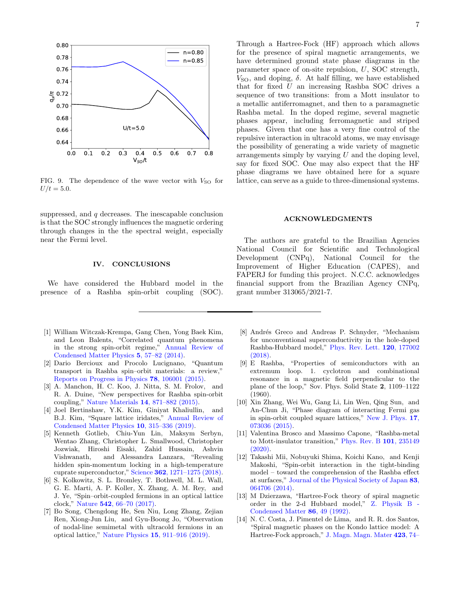

<span id="page-6-13"></span>FIG. 9. The dependence of the wave vector with  $V_{\text{SO}}$  for  $U/t = 5.0.$ 

suppressed, and  $q$  decreases. The inescapable conclusion is that the SOC strongly influences the magnetic ordering through changes in the the spectral weight, especially near the Fermi level.

### <span id="page-6-9"></span>IV. CONCLUSIONS

We have considered the Hubbard model in the presence of a Rashba spin-orbit coupling (SOC).

- <span id="page-6-0"></span>[1] William Witczak-Krempa, Gang Chen, Yong Baek Kim, and Leon Balents, "Correlated quantum phenomena in the strong spin-orbit regime," [Annual Review of](http://dx.doi.org/ 10.1146/annurev-conmatphys-020911-125138) [Condensed Matter Physics](http://dx.doi.org/ 10.1146/annurev-conmatphys-020911-125138) 5, 57–82 (2014).
- [2] Dario Bercioux and Procolo Lucignano, "Quantum transport in Rashba spin–orbit materials: a review," [Reports on Progress in Physics](http://dx.doi.org/10.1088/0034-4885/78/10/106001) 78, 106001 (2015).
- [3] A. Manchon, H. C. Koo, J. Nitta, S. M. Frolov, and R. A. Duine, "New perspectives for Rashba spin-orbit coupling," [Nature Materials](http://dx.doi.org/10.1038/nmat4360) 14, 871–882 (2015).
- <span id="page-6-1"></span>[4] Joel Bertinshaw, Y.K. Kim, Giniyat Khaliullin, and B.J. Kim, "Square lattice iridates," [Annual Review of](http://dx.doi.org/10.1146/annurev-conmatphys-031218-013113) [Condensed Matter Physics](http://dx.doi.org/10.1146/annurev-conmatphys-031218-013113) 10, 315–336 (2019).
- <span id="page-6-2"></span>[5] Kenneth Gotlieb, Chiu-Yun Lin, Maksym Serbyn, Wentao Zhang, Christopher L. Smallwood, Christopher Jozwiak, Hiroshi Eisaki, Zahid Hussain, Ashvin Vishwanath, and Alessandra Lanzara, "Revealing hidden spin-momentum locking in a high-temperature cuprate superconductor," Science 362[, 1271–1275 \(2018\).](http://dx.doi.org/ 10.1126/science.aao0980)
- <span id="page-6-3"></span>[6] S. Kolkowitz, S. L. Bromley, T. Bothwell, M. L. Wall, G. E. Marti, A. P. Koller, X. Zhang, A. M. Rey, and J. Ye, "Spin–orbit-coupled fermions in an optical lattice clock," Nature 542[, 66–70 \(2017\).](http://dx.doi.org/10.1038/nature20811)
- <span id="page-6-4"></span>[7] Bo Song, Chengdong He, Sen Niu, Long Zhang, Zejian Ren, Xiong-Jun Liu, and Gyu-Boong Jo, "Observation of nodal-line semimetal with ultracold fermions in an optical lattice," Nature Physics 15[, 911–916 \(2019\).](http://dx.doi.org/ 10.1038/s41567-019-0564-y)

Through a Hartree-Fock (HF) approach which allows for the presence of spiral magnetic arrangements, we have determined ground state phase diagrams in the parameter space of on-site repulsion, U, SOC strength,  $V<sub>SO</sub>$ , and doping,  $\delta$ . At half filling, we have established that for fixed U an increasing Rashba SOC drives a sequence of two transitions: from a Mott insulator to a metallic antiferromagnet, and then to a paramagnetic Rashba metal. In the doped regime, several magnetic phases appear, including ferromagnetic and striped phases. Given that one has a very fine control of the repulsive interaction in ultracold atoms, we may envisage the possibility of generating a wide variety of magnetic arrangements simply by varying  $U$  and the doping level, say for fixed SOC. One may also expect that the HF phase diagrams we have obtained here for a square lattice, can serve as a guide to three-dimensional systems.

### ACKNOWLEDGMENTS

The authors are grateful to the Brazilian Agencies National Council for Scientific and Technological Development (CNPq), National Council for the Improvement of Higher Education (CAPES), and FAPERJ for funding this project. N.C.C. acknowledges financial support from the Brazilian Agency CNPq, grant number 313065/2021-7.

- <span id="page-6-5"></span>[8] Andrés Greco and Andreas P. Schnyder, "Mechanism for unconventional superconductivity in the hole-doped Rashba-Hubbard model," [Phys. Rev. Lett.](http://dx.doi.org/10.1103/PhysRevLett.120.177002) 120, 177002 [\(2018\).](http://dx.doi.org/10.1103/PhysRevLett.120.177002)
- <span id="page-6-6"></span>[9] E Rashba, "Properties of semiconductors with an extremum loop. 1. cyclotron and combinational resonance in a magnetic field perpendicular to the plane of the loop," Sov. Phys. Solid State 2, 1109–1122 (1960).
- <span id="page-6-7"></span>[10] Xin Zhang, Wei Wu, Gang Li, Lin Wen, Qing Sun, and An-Chun Ji, "Phase diagram of interacting Fermi gas in spin-orbit coupled square lattices," [New J. Phys.](http://dx.doi.org/10.1088/1367-2630/17/7/073036) 17, [073036 \(2015\).](http://dx.doi.org/10.1088/1367-2630/17/7/073036)
- <span id="page-6-8"></span>[11] Valentina Brosco and Massimo Capone, "Rashba-metal to Mott-insulator transition," [Phys. Rev. B](http://dx.doi.org/ 10.1103/PhysRevB.101.235149) 101, 235149  $(2020)$ .
- <span id="page-6-10"></span>[12] Takashi Mii, Nobuyuki Shima, Koichi Kano, and Kenji Makoshi, "Spin-orbit interaction in the tight-binding model – toward the comprehension of the Rashba effect at surfaces," [Journal of the Physical Society of Japan](http://dx.doi.org/10.7566/JPSJ.83.064706) 83, [064706 \(2014\).](http://dx.doi.org/10.7566/JPSJ.83.064706)
- <span id="page-6-11"></span>[13] M Dzierzawa, "Hartree-Fock theory of spiral magnetic order in the 2-d Hubbard model," [Z. Physik B -](http://dx.doi.org/https://doi.org/10.1007/BF01323546) [Condensed Matter](http://dx.doi.org/https://doi.org/10.1007/BF01323546) 86, 49 (1992).
- <span id="page-6-12"></span>[14] N. C. Costa, J. Pimentel de Lima, and R. R. dos Santos, "Spiral magnetic phases on the Kondo lattice model: A Hartree-Fock approach," [J. Magn. Magn. Mater](http://dx.doi.org/ https://doi.org/10.1016/j.jmmm.2016.09.061) 423, 74–